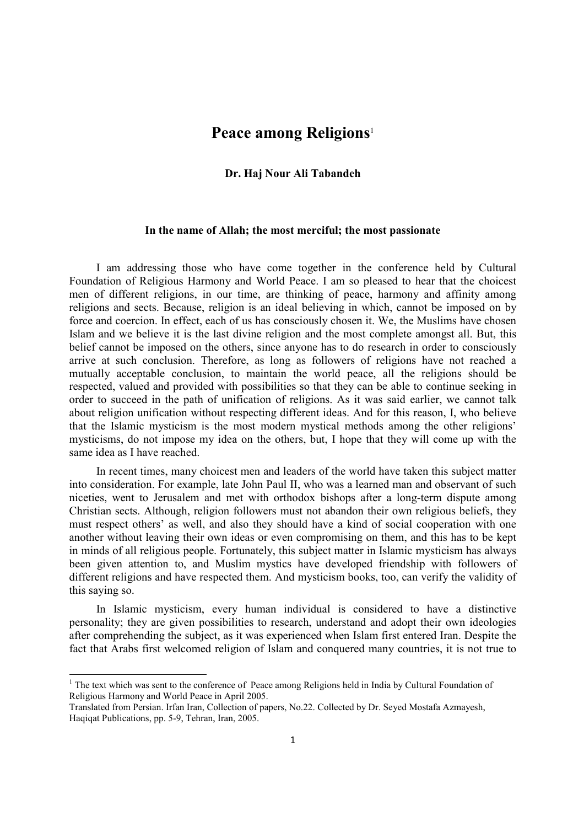## **Peace among Religions**<sup>1</sup>

## **Dr. Haj Nour Ali Tabandeh**

## **In the name of Allah; the most merciful; the most passionate**

I am addressing those who have come together in the conference held by Cultural Foundation of Religious Harmony and World Peace. I am so pleased to hear that the choicest men of different religions, in our time, are thinking of peace, harmony and affinity among religions and sects. Because, religion is an ideal believing in which, cannot be imposed on by force and coercion. In effect, each of us has consciously chosen it. We, the Muslims have chosen Islam and we believe it is the last divine religion and the most complete amongst all. But, this belief cannot be imposed on the others, since anyone has to do research in order to consciously arrive at such conclusion. Therefore, as long as followers of religions have not reached a mutually acceptable conclusion, to maintain the world peace, all the religions should be respected, valued and provided with possibilities so that they can be able to continue seeking in order to succeed in the path of unification of religions. As it was said earlier, we cannot talk about religion unification without respecting different ideas. And for this reason, I, who believe that the Islamic mysticism is the most modern mystical methods among the other religions' mysticisms, do not impose my idea on the others, but, I hope that they will come up with the same idea as I have reached.

In recent times, many choicest men and leaders of the world have taken this subject matter into consideration. For example, late John Paul II, who was a learned man and observant of such niceties, went to Jerusalem and met with orthodox bishops after a long-term dispute among Christian sects. Although, religion followers must not abandon their own religious beliefs, they must respect others' as well, and also they should have a kind of social cooperation with one another without leaving their own ideas or even compromising on them, and this has to be kept in minds of all religious people. Fortunately, this subject matter in Islamic mysticism has always been given attention to, and Muslim mystics have developed friendship with followers of different religions and have respected them. And mysticism books, too, can verify the validity of this saying so.

In Islamic mysticism, every human individual is considered to have a distinctive personality; they are given possibilities to research, understand and adopt their own ideologies after comprehending the subject, as it was experienced when Islam first entered Iran. Despite the fact that Arabs first welcomed religion of Islam and conquered many countries, it is not true to

 $\overline{a}$ 

 $1$  The text which was sent to the conference of Peace among Religions held in India by Cultural Foundation of Religious Harmony and World Peace in April 2005.

Translated from Persian. Irfan Iran, Collection of papers, No.22. Collected by Dr. Seyed Mostafa Azmayesh, Haqiqat Publications, pp. 5-9, Tehran, Iran, 2005.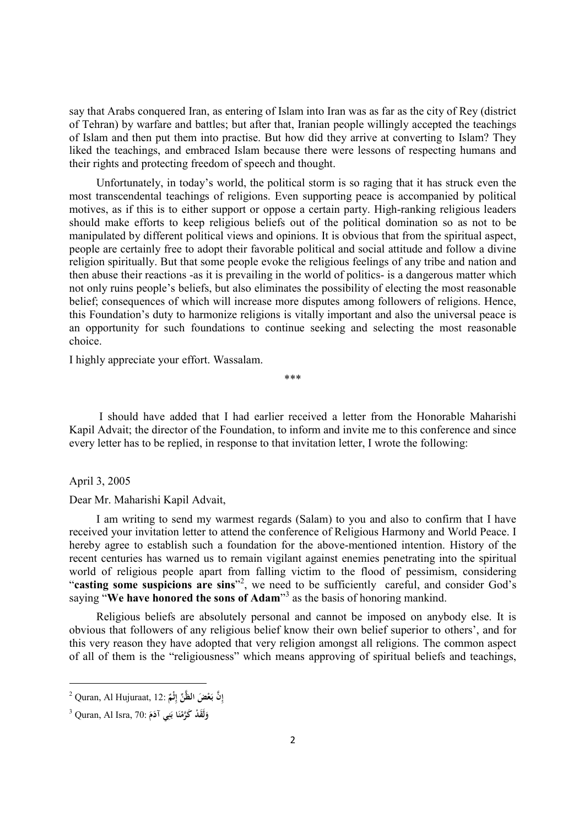say that Arabs conquered Iran, as entering of Islam into Iran was as far as the city of Rey (district of Tehran) by warfare and battles; but after that, Iranian people willingly accepted the teachings of Islam and then put them into practise. But how did they arrive at converting to Islam? They liked the teachings, and embraced Islam because there were lessons of respecting humans and their rights and protecting freedom of speech and thought.

Unfortunately, in today's world, the political storm is so raging that it has struck even the most transcendental teachings of religions. Even supporting peace is accompanied by political motives, as if this is to either support or oppose a certain party. High-ranking religious leaders should make efforts to keep religious beliefs out of the political domination so as not to be manipulated by different political views and opinions. It is obvious that from the spiritual aspect, people are certainly free to adopt their favorable political and social attitude and follow a divine religion spiritually. But that some people evoke the religious feelings of any tribe and nation and then abuse their reactions -as it is prevailing in the world of politics- is a dangerous matter which not only ruins people's beliefs, but also eliminates the possibility of electing the most reasonable belief; consequences of which will increase more disputes among followers of religions. Hence, this Foundation's duty to harmonize religions is vitally important and also the universal peace is an opportunity for such foundations to continue seeking and selecting the most reasonable choice.

I highly appreciate your effort. Wassalam.

\*\*\*

I should have added that I had earlier received a letter from the Honorable Maharishi Kapil Advait; the director of the Foundation, to inform and invite me to this conference and since every letter has to be replied, in response to that invitation letter, I wrote the following:

April 3, 2005

 $\overline{\phantom{a}}$ 

Dear Mr. Maharishi Kapil Advait,

I am writing to send my warmest regards (Salam) to you and also to confirm that I have received your invitation letter to attend the conference of Religious Harmony and World Peace. I hereby agree to establish such a foundation for the above-mentioned intention. History of the recent centuries has warned us to remain vigilant against enemies penetrating into the spiritual world of religious people apart from falling victim to the flood of pessimism, considering "casting some suspicions are sins"<sup>2</sup>, we need to be sufficiently careful, and consider God's saying "**We have honored the sons of Adam**" 3 as the basis of honoring mankind.

Religious beliefs are absolutely personal and cannot be imposed on anybody else. It is obvious that followers of any religious belief know their own belief superior to others', and for this very reason they have adopted that very religion amongst all religions. The common aspect of all of them is the "religiousness" which means approving of spiritual beliefs and teachings,

<sup>2</sup> Quran, Al Hujuraat, 12: **َّن ِ ْ َض إ ع ِّن بـالظَّ ٌ ثْم َ ِ إ**

<sup>3</sup> Quran, Al Isra, 70: **دْ لََق َ و ا ن َكَّرم ي ن َم آدَ ْ ِ َ ب َ**